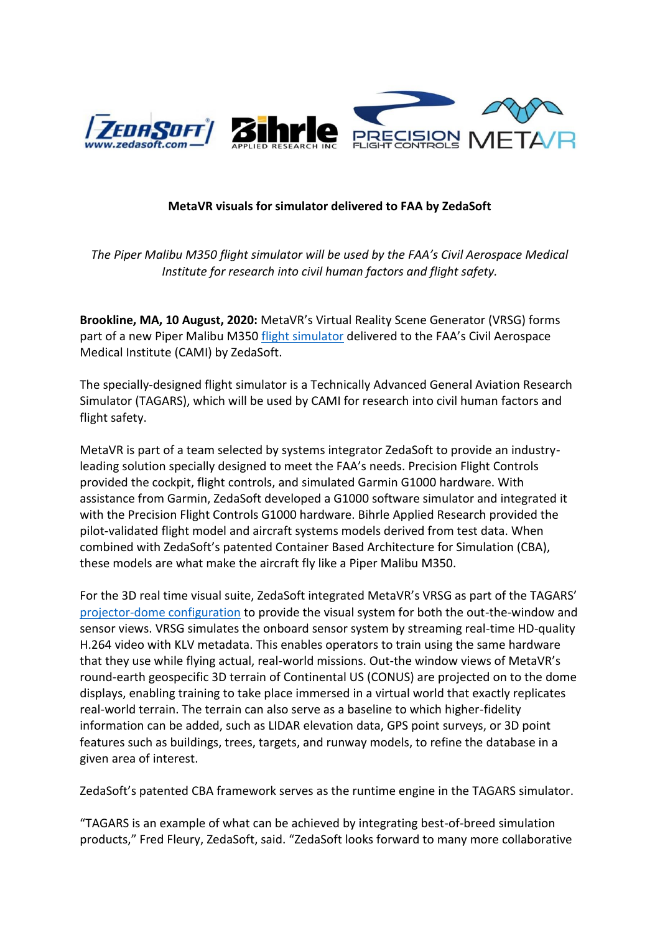

# **MetaVR visuals for simulator delivered to FAA by ZedaSoft**

*The Piper Malibu M350 flight simulator will be used by the FAA's Civil Aerospace Medical Institute for research into civil human factors and flight safety.*

**Brookline, MA, 10 August, 2020:** MetaVR's Virtual Reality Scene Generator (VRSG) forms part of a new Piper Malibu M350 [flight simulator](https://www.zedasoft.com/news/tagars-delivered-to-faa-cami/) delivered to the FAA's Civil Aerospace Medical Institute (CAMI) by ZedaSoft.

The specially-designed flight simulator is a Technically Advanced General Aviation Research Simulator (TAGARS), which will be used by CAMI for research into civil human factors and flight safety.

MetaVR is part of a team selected by systems integrator ZedaSoft to provide an industryleading solution specially designed to meet the FAA's needs. Precision Flight Controls provided the cockpit, flight controls, and simulated Garmin G1000 hardware. With assistance from Garmin, ZedaSoft developed a G1000 software simulator and integrated it with the Precision Flight Controls G1000 hardware. Bihrle Applied Research provided the pilot-validated flight model and aircraft systems models derived from test data. When combined with ZedaSoft's patented Container Based Architecture for Simulation (CBA), these models are what make the aircraft fly like a Piper Malibu M350.

For the 3D real time visual suite, ZedaSoft integrated MetaVR's VRSG as part of the TAGARS' [projector-dome configuration](https://www.metavr.com/casestudies/fixed/FAA-M350-TAGARS.html) to provide the visual system for both the out-the-window and sensor views. VRSG simulates the onboard sensor system by streaming real-time HD-quality H.264 video with KLV metadata. This enables operators to train using the same hardware that they use while flying actual, real-world missions. Out-the window views of MetaVR's round-earth geospecific 3D terrain of Continental US (CONUS) are projected on to the dome displays, enabling training to take place immersed in a virtual world that exactly replicates real-world terrain. The terrain can also serve as a baseline to which higher-fidelity information can be added, such as LIDAR elevation data, GPS point surveys, or 3D point features such as buildings, trees, targets, and runway models, to refine the database in a given area of interest.

ZedaSoft's patented CBA framework serves as the runtime engine in the TAGARS simulator.

"TAGARS is an example of what can be achieved by integrating best-of-breed simulation products," Fred Fleury, ZedaSoft, said. "ZedaSoft looks forward to many more collaborative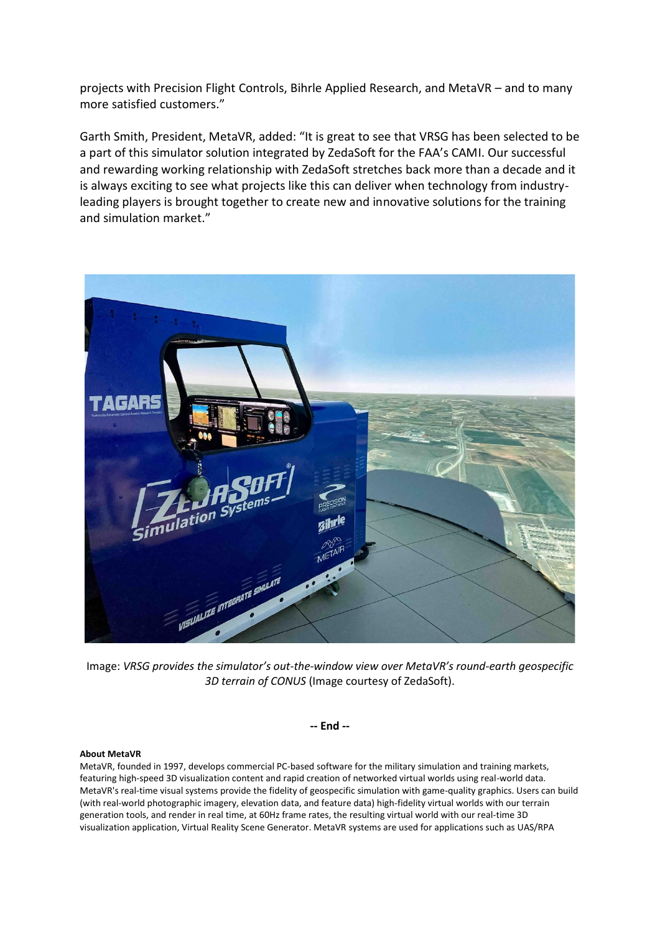projects with Precision Flight Controls, Bihrle Applied Research, and MetaVR – and to many more satisfied customers."

Garth Smith, President, MetaVR, added: "It is great to see that VRSG has been selected to be a part of this simulator solution integrated by ZedaSoft for the FAA's CAMI. Our successful and rewarding working relationship with ZedaSoft stretches back more than a decade and it is always exciting to see what projects like this can deliver when technology from industryleading players is brought together to create new and innovative solutions for the training and simulation market."



Image: *VRSG provides the simulator's out-the-window view over MetaVR's round-earth geospecific 3D terrain of CONUS* (Image courtesy of ZedaSoft).

**-- End --**

# **About MetaVR**

MetaVR, founded in 1997, develops commercial PC-based software for the military simulation and training markets, featuring high-speed 3D visualization content and rapid creation of networked virtual worlds using real-world data. MetaVR's real-time visual systems provide the fidelity of geospecific simulation with game-quality graphics. Users can build (with real-world photographic imagery, elevation data, and feature data) high-fidelity virtual worlds with our terrain generation tools, and render in real time, at 60Hz frame rates, the resulting virtual world with our real-time 3D visualization application, Virtual Reality Scene Generator. MetaVR systems are used for applications such as UAS/RPA